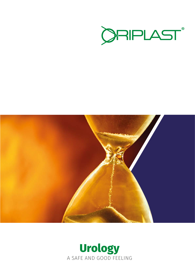



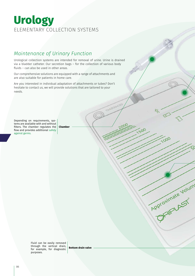# Urology **Urology** ELEMENTARY COLLECTION SYSTEMS

### *Maintenance of Urinary Function*

Urological collection systems are intended for removal of urine. Urine is drained via a bladder catheter. Our secretion bags – for the collection of various body fluids – can also be used in other areas.

TM300420

500

1000

Approximate Volum

Our comprehensive solutions are equipped with a range of attachments and are also suitable for patients in home care.

Are you interested in individual adaptation of attachments or tubes? Don't hesitate to contact us, we will provide solutions that are tailored to your needs.

Depending on requirements, systems are available with and without filters. The chamber regulates the flow and provides additional safety against germs. **Chamber**

> Fluid can be easily removed through the vertical drain, for example, for diagnostic purposes.

**Bottom drain valve**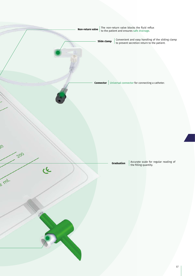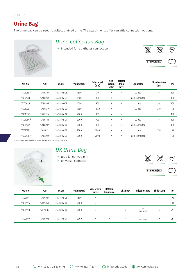Urology

### **Urine Bag**

The urine bag can be used to collect drained urine. The attachments offer versatile connection options.



# *Urine Collection Bag*

• intended for a catheter connection  $\overline{\otimes_{\mathbf{W}}\otimes \cdots \otimes_{\mathbf{W}}\cdots \otimes_{\mathbf{W}}$ 



| Art.-No.    | <b>PCN</b> | eClass      | Volume (ml) | <b>Tube length</b><br>(mm) | Non-<br>return<br>valve | <b>Bottom</b><br>drain<br>valve | <b>Connector</b> | <b>Chamber filter</b><br>(µm) | PU  |
|-------------|------------|-------------|-------------|----------------------------|-------------------------|---------------------------------|------------------|-------------------------------|-----|
| VK010591    | 17489407   | 34-38-04-03 | 1500        | 30                         | $\bullet$               |                                 | LL neg           | -                             | 100 |
| VK00980     | 17488939   | 34-38-04-03 | 1500        | 900                        |                         | ۰                               | step connector   | -                             | 100 |
| VK00986     | 17488968   | 34-38-04-03 | 1500        | 900                        |                         |                                 | LL pos           | ۰                             | 100 |
| VK01020     | 17489229   | 34-38-04-03 | 1500        | 1080                       | $\bullet$               | -                               | LL pos           | 270                           | 50  |
| VK010323    | 17489235   | 34-38-04-04 | 2000        | 300                        | $\bullet$               | ٠                               | -                | -                             | 100 |
| VK010641    | 17489465   | 34-38-04-04 | 2000        | 900                        | $\bullet$               | $\bullet$                       | LL pos           | ۰                             | 100 |
| VK00989     | 17488997   | 34-38-04-04 | 2000        | 900                        | $\bullet$               | ٠                               | step connector   | ۰                             | 100 |
| VK01019     | 17489212   | 34-38-04-04 | 2000        | 1080                       | $\bullet$               | ٠                               | LL pos           | 270                           | 50  |
| VK00978 2/3 | 17488922   | 34-38-04-03 | 2000        | 2000                       | $\bullet$               | $\bullet$                       | step connector   | -                             | 50  |

**1** sterile single packed **2** with QL connection and slide clamp **3** contains DEHP



# *UK Urine Bag*

- 
- 



Art.-No. PCN eClass Volume (ml) Non-return valve Bottom<br>drain valve Chamber Injection part Slide clamp PU VK00995 17489057 34-38-04-03 1500 − − − − 100 VK00996 17489063 34-38-04-04 2000 − − − 100 VK00998 <sup>17489086</sup> 34-38-04-04 2000 (with LL neg) <sup>25</sup> VK00999 <sup>17489092</sup> 34-38-04-04 2000 <sup>−</sup> (with LL neg) <sup>25</sup>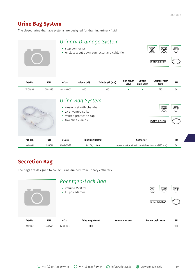### **Urine Bag System**

The closed urine drainage systems are designed for draining urinary fluid.

| Urinary Drainage System<br>• step connector<br>• enclosed: cut down connector and cable tie | ι¥κ<br><b>PVC</b><br><b>БЕНР</b> |
|---------------------------------------------------------------------------------------------|----------------------------------|
|                                                                                             | <b>STERILE EO</b>                |
|                                                                                             |                                  |

| Art.-No. | PCN      | eClass              | Volume (ml) | Tube length (mm) | Non-return<br>valve | <b>Bottom</b><br>drain valve | <b>Chamber filter</b><br>$(\mu m)$ | PU |
|----------|----------|---------------------|-------------|------------------|---------------------|------------------------------|------------------------------------|----|
| VK00968  | 17488856 | $34 - 38 - 04 - 04$ | 2000        | 900              |                     |                              | 27C                                | ັບ |

|          |            | • 2x unvented spike<br>two slide clamps<br>$\bullet$ | Urine Bag System<br>• rinsing set with chamber<br>vented protection cap | <b>DATEX</b><br>STERILE EO                           | (PVC) |
|----------|------------|------------------------------------------------------|-------------------------------------------------------------------------|------------------------------------------------------|-------|
| Art.-No. | <b>PCN</b> | eClass                                               | Tube length (mm)                                                        | <b>Connector</b>                                     | PU    |
| VK00991  | 17489011   | $34 - 38 - 04 - 92$                                  | 1x 1150, 2x 400                                                         | step connector with silicone tube extension (150 mm) | 50    |

# **Secretion Bag**

The bags are designed to collect urine drained from urinary catheters.

|          |          | volume 1500 ml<br>$\bullet$<br>• LL pos adapter | Roentgen-Lock Bag |                  | ∾<br><b>LAJEX</b><br>能<br><b>STERILE EO</b> | (PVC) |
|----------|----------|-------------------------------------------------|-------------------|------------------|---------------------------------------------|-------|
| Art.-No. | PCN      | eClass                                          | Tube length (mm)  | Non-return valve | <b>Bottom drain valve</b>                   | PU    |
| VK01062  | 17489442 | 34-38-04-03                                     | 900               |                  |                                             | 100   |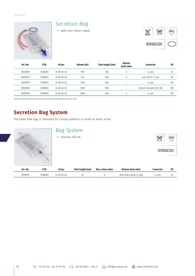Urology



### *Secretion Bag*



| PU<br><b>Connector</b>          |
|---------------------------------|
| 25<br>LL pos                    |
| 60<br>Luer-Steck, LL pos        |
| 100<br>LL pos                   |
| funnel connector (FG 18)<br>100 |
| 100<br>LL pos                   |
|                                 |

**1** with an X-ray contrast line, two quick binders **2** three-way stopcock (blue, with union cap)

# **Secretion Bag System**

The latex-free bag is intended for closed systems in order to drain urine.

|          |          | <b>Bag System</b><br>• volume 450 ml |                  |                  |                           | LARY              | (PVC) |
|----------|----------|--------------------------------------|------------------|------------------|---------------------------|-------------------|-------|
|          |          |                                      |                  |                  |                           | <b>STERILE EO</b> |       |
| Art.-No. | PCN      | eClass                               | Tube length (mm) | Non-return valve | <b>Bottom drain valve</b> | Connector         | PU    |
| VK00976  | 17488885 | 34-38-04-04                          | 25               |                  | with slide clamp, LL neg  | LL pos            | 25    |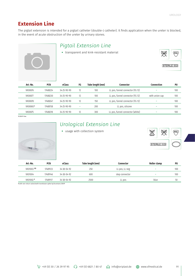### **Extension Line**

The pigtail extension is intended for a pigtail catheter (double-J catheter). It finds application when the ureter is blocked, in the event of acute obstruction of the ureter by urinary stones.

### *Pigtail Extension Line*

• transparent and kink-resistant material  $\overline{\text{QGC}}$   $\overline{\text{QVC}}$ 



| Art.-No. | PCN      | eClass              | FG                       | Tube length (mm) | Connector                        | Connection     | PU  |
|----------|----------|---------------------|--------------------------|------------------|----------------------------------|----------------|-----|
| VK00876  | 17488224 | $34 - 25 - 90 - 90$ | 12                       | 100              | LL pos, funnel connector (FG 12) | -              | 100 |
| VK00877  | 17488230 | $34 - 25 - 90 - 90$ | 12                       | 100              | LL pos, funnel connector (FG 12) | with union cap | 100 |
| VK00878  | 17488247 | $34 - 25 - 90 - 90$ | 12                       | 150              | LL pos, funnel connector (FG 12) | -              | 100 |
| VK008651 | 17488158 | $34 - 25 - 90 - 90$ | $\overline{\phantom{a}}$ | 200              | LL pos, silicone                 | -              | 100 |
| VK00875  | 17488218 | $34 - 25 - 90 - 90$ | 12                       | 300              | LL pos, funnel connector (white) | -              | 100 |

**1** DEHP-free



### *Urological Extension Line*



| Art.-No.             | <b>PCN</b> | eClass              | Tube length (mm) | Connector      | Roller clamp | PU  |
|----------------------|------------|---------------------|------------------|----------------|--------------|-----|
| VK01003 1/3          | 17489123   | $34 - 38 - 04 - 92$ | 250              | LL pos, LL neg | -            | 100 |
| VK01004              | 17489146   | $34 - 38 - 04 - 92$ | 600              | step connector | -            | 100 |
| VK01002 <sup>2</sup> | 17489117   | 34-38-04-92         | 2500             | LL pos         | blue         | 50  |

**1** with non-return valve **2** with transfusion spike tip **3** contains DEHP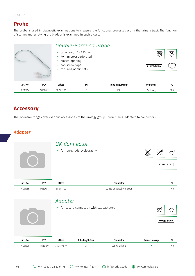### **Probe**

The probe is used in diagnostic examinations to measure the functional processes within the urinary tract. The function of storing and emptying the bladder is examined in such a case.

|          |            | • tube length 2x 850 mm<br>• closed opening<br>two screw caps<br>$\bullet$<br>• for urodynamic sets | Double-Barreled Probe<br>• 70 mm crossperforated |                  | ιæ<br><b>STERILE EO</b> | (PVC) |
|----------|------------|-----------------------------------------------------------------------------------------------------|--------------------------------------------------|------------------|-------------------------|-------|
| Art.-No. | <b>PCN</b> | eClass                                                                                              | FG                                               | Tube length (mm) | <b>Connector</b>        | PU    |
| VK00954  | 17488827   | 34-25-11-91                                                                                         | 6                                                | 230              | 2x LL neg               | 100   |

### **Accessory**

The extensive range covers various accessories of the urology group – from tubes, adapters to connectors.

### *Adapter*

|          |            | UK-Connector<br>• for retrograde pyelography |                                             | ัพห<br>DEHF | (PVC)<br><b>STERILE EO</b> |
|----------|------------|----------------------------------------------|---------------------------------------------|-------------|----------------------------|
| Art.-No. | <b>PCN</b> | eClass                                       | Connector                                   |             | PU                         |
| VK01066  | 17489488   | 34-25-11-03                                  | LL neg, universal connector                 |             | 100                        |
|          |            | Adapter                                      | • for secure connection with e.g. catheters |             | PVC                        |

| Art.-No. | PCN      | eClass              | Tube length (mm) | Connector        | <b>Predection cap</b> | PL  |
|----------|----------|---------------------|------------------|------------------|-----------------------|-----|
| VK01000  | 17489100 | $34 - 38 - 04 - 10$ | つに<br>رے         | LL pos, silicone |                       | 100 |

**STERILE EO**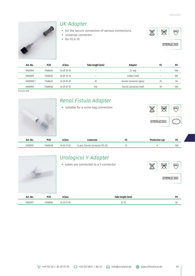

## *UK-Adapter*

- for the secure connection of various connections
- universal connector
- for FG 6-10





| Art.-No. | PCN      | eClass              | Tube length (mm) | Adapter                 | FG | PU  |
|----------|----------|---------------------|------------------|-------------------------|----|-----|
| VK00903  | 17488454 | $34 - 29 - 01 - 01$ | -                | LL neg                  | -  | 100 |
| VK00899  | 17488425 | $34 - 29 - 01 - 01$ | $\sim$           | rubber (red)            | -  | 100 |
| VK009001 | 17488431 | $34 - 29 - 01 - 01$ | 70               | funnel connector (grey) | 25 | 50  |
| VK00905  | 17488460 | $34 - 29 - 01 - 01$ | 250              | funnel connector (red)  | 18 | 100 |
|          |          |                     |                  |                         |    |     |

**1** contains DEHP



| Art.-No. | <b>DCM</b><br>-u. | eClass                           | Connector                                                               | п. | Dro<br>ı can | PU  |
|----------|-------------------|----------------------------------|-------------------------------------------------------------------------|----|--------------|-----|
| VK00901  | 7488448           | イムー・<br>$\cdot$ , $\cdot$<br>UJ. | $ -$<br>$\sim$<br>nns<br>tunnel<br>connecto<br>IJ<br>$\mathbf{v}$<br>-- |    |              | 100 |

|          |            |        | Urological Y-Adapter<br>• tubes are connected to a Y-connector<br>∖พ<br>∕‱ |                  |  |  | <b>Dagex</b> | (PVC)      |
|----------|------------|--------|----------------------------------------------------------------------------|------------------|--|--|--------------|------------|
|          |            |        |                                                                            |                  |  |  |              | STERILE EO |
| Art.-No. | <b>PCN</b> | eClass |                                                                            | Tube length (mm) |  |  |              | PU         |

VK00977 17488916 34-25-11-03 2x 70 2x 70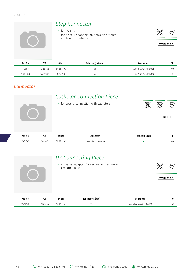Urology



### *Connector*

|          |            |             | <b>Catheter Connection Piece</b><br>• for secure connection with catheters | X              | ਇੱ<br>(PVC)<br><b>STERILE EO</b> |
|----------|------------|-------------|----------------------------------------------------------------------------|----------------|----------------------------------|
| Art.-No. | <b>PCN</b> | eClass      | <b>Connector</b>                                                           | Predection cap | PU                               |
| VK01065  | 17489471   | 34-25-11-03 | LL neg, step connector                                                     | ٠              | 100                              |

|          |            | $\bullet$<br>e.g. urine bags | <b>UK Connecting Piece</b><br>universal adapter for secure connection with |           | (PVC)<br>λư≶<br>STERILE EO |
|----------|------------|------------------------------|----------------------------------------------------------------------------|-----------|----------------------------|
| Art.-No. | <b>PCN</b> | eClass                       | Tube length (mm)                                                           | Connector | PU                         |

VK01067 17489494 34-25-11-03 70 70 funnel connector (FG 18) 100